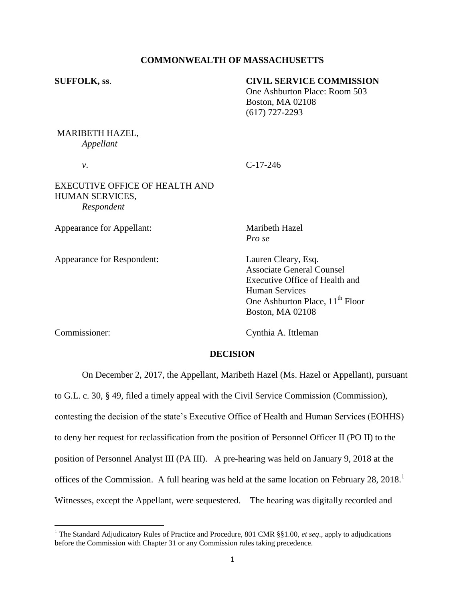## **COMMONWEALTH OF MASSACHUSETTS**

# **SUFFOLK, ss**. **CIVIL SERVICE COMMISSION** One Ashburton Place: Room 503 Boston, MA 02108 (617) 727-2293

## MARIBETH HAZEL, *Appellant*

*v*. C-17-246

## EXECUTIVE OFFICE OF HEALTH AND HUMAN SERVICES, *Respondent*

Appearance for Appellant: Maribeth Hazel

Appearance for Respondent: Lauren Cleary, Esq.

*Pro se*

Associate General Counsel Executive Office of Health and Human Services One Ashburton Place,  $11<sup>th</sup>$  Floor Boston, MA 02108

Commissioner: Cynthia A. Ittleman

## **DECISION**

On December 2, 2017, the Appellant, Maribeth Hazel (Ms. Hazel or Appellant), pursuant

to G.L. c. 30, § 49, filed a timely appeal with the Civil Service Commission (Commission),

contesting the decision of the state's Executive Office of Health and Human Services (EOHHS)

to deny her request for reclassification from the position of Personnel Officer II (PO II) to the

position of Personnel Analyst III (PA III). A pre-hearing was held on January 9, 2018 at the

offices of the Commission. A full hearing was held at the same location on February 28, 2018.<sup>1</sup>

Witnesses, except the Appellant, were sequestered. The hearing was digitally recorded and

 $\overline{\phantom{a}}$ <sup>1</sup> The Standard Adjudicatory Rules of Practice and Procedure, 801 CMR §§1.00, *et seq.*, apply to adjudications before the Commission with Chapter 31 or any Commission rules taking precedence.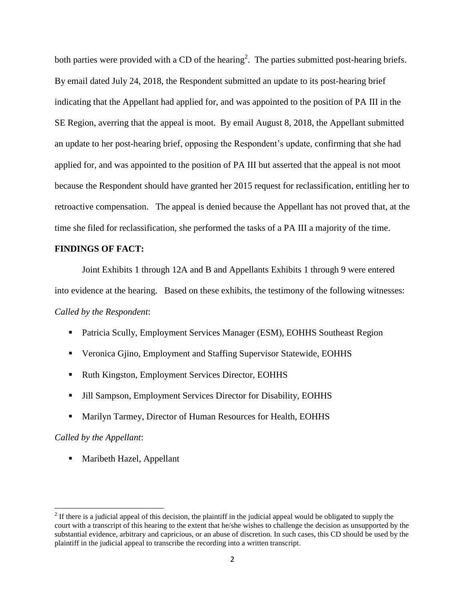both parties were provided with a CD of the hearing<sup>2</sup>. The parties submitted post-hearing briefs. By email dated July 24, 2018, the Respondent submitted an update to its post-hearing brief indicating that the Appellant had applied for, and was appointed to the position of PA III in the SE Region, averring that the appeal is moot. By email August 8, 2018, the Appellant submitted an update to her post-hearing brief, opposing the Respondent's update, confirming that she had applied for, and was appointed to the position of PA III but asserted that the appeal is not moot because the Respondent should have granted her 2015 request for reclassification, entitling her to retroactive compensation. The appeal is denied because the Appellant has not proved that, at the time she filed for reclassification, she performed the tasks of a PA III a majority of the time.

## **FINDINGS OF FACT:**

Joint Exhibits 1 through 12A and B and Appellants Exhibits 1 through 9 were entered into evidence at the hearing. Based on these exhibits, the testimony of the following witnesses: *Called by the Respondent*:

- Patricia Scully, Employment Services Manager (ESM), EOHHS Southeast Region
- Veronica Gjino, Employment and Staffing Supervisor Statewide, EOHHS
- Ruth Kingston, Employment Services Director, EOHHS
- Jill Sampson, Employment Services Director for Disability, EOHHS
- Marilyn Tarmey, Director of Human Resources for Health, EOHHS

#### *Called by the Appellant*:

 $\overline{\phantom{a}}$ 

**Maribeth Hazel, Appellant** 

 $2<sup>2</sup>$  If there is a judicial appeal of this decision, the plaintiff in the judicial appeal would be obligated to supply the court with a transcript of this hearing to the extent that he/she wishes to challenge the decision as unsupported by the substantial evidence, arbitrary and capricious, or an abuse of discretion. In such cases, this CD should be used by the plaintiff in the judicial appeal to transcribe the recording into a written transcript.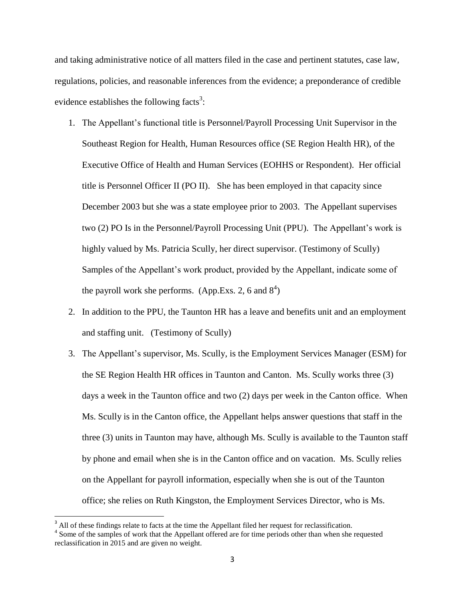and taking administrative notice of all matters filed in the case and pertinent statutes, case law, regulations, policies, and reasonable inferences from the evidence; a preponderance of credible evidence establishes the following facts<sup>3</sup>:

- 1. The Appellant's functional title is Personnel/Payroll Processing Unit Supervisor in the Southeast Region for Health, Human Resources office (SE Region Health HR), of the Executive Office of Health and Human Services (EOHHS or Respondent). Her official title is Personnel Officer II (PO II). She has been employed in that capacity since December 2003 but she was a state employee prior to 2003. The Appellant supervises two (2) PO Is in the Personnel/Payroll Processing Unit (PPU). The Appellant's work is highly valued by Ms. Patricia Scully, her direct supervisor. (Testimony of Scully) Samples of the Appellant's work product, provided by the Appellant, indicate some of the payroll work she performs. (App.Exs. 2, 6 and  $8^4$ )
- 2. In addition to the PPU, the Taunton HR has a leave and benefits unit and an employment and staffing unit. (Testimony of Scully)
- 3. The Appellant's supervisor, Ms. Scully, is the Employment Services Manager (ESM) for the SE Region Health HR offices in Taunton and Canton. Ms. Scully works three (3) days a week in the Taunton office and two (2) days per week in the Canton office. When Ms. Scully is in the Canton office, the Appellant helps answer questions that staff in the three (3) units in Taunton may have, although Ms. Scully is available to the Taunton staff by phone and email when she is in the Canton office and on vacation. Ms. Scully relies on the Appellant for payroll information, especially when she is out of the Taunton office; she relies on Ruth Kingston, the Employment Services Director, who is Ms.

 $\overline{\phantom{a}}$ 

 $3$  All of these findings relate to facts at the time the Appellant filed her request for reclassification.

<sup>&</sup>lt;sup>4</sup> Some of the samples of work that the Appellant offered are for time periods other than when she requested reclassification in 2015 and are given no weight.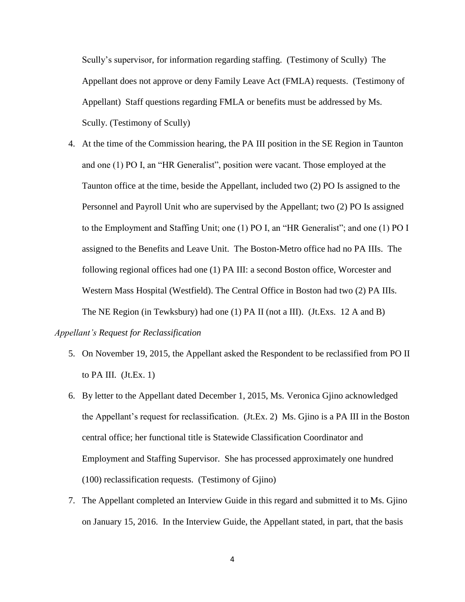Scully's supervisor, for information regarding staffing. (Testimony of Scully) The Appellant does not approve or deny Family Leave Act (FMLA) requests. (Testimony of Appellant) Staff questions regarding FMLA or benefits must be addressed by Ms. Scully. (Testimony of Scully)

4. At the time of the Commission hearing, the PA III position in the SE Region in Taunton and one (1) PO I, an "HR Generalist", position were vacant. Those employed at the Taunton office at the time, beside the Appellant, included two (2) PO Is assigned to the Personnel and Payroll Unit who are supervised by the Appellant; two (2) PO Is assigned to the Employment and Staffing Unit; one (1) PO I, an "HR Generalist"; and one (1) PO I assigned to the Benefits and Leave Unit. The Boston-Metro office had no PA IIIs. The following regional offices had one (1) PA III: a second Boston office, Worcester and Western Mass Hospital (Westfield). The Central Office in Boston had two (2) PA IIIs. The NE Region (in Tewksbury) had one (1) PA II (not a III). (Jt.Exs. 12 A and B)

## *Appellant's Request for Reclassification*

- 5. On November 19, 2015, the Appellant asked the Respondent to be reclassified from PO II to PA III.  $(Jt.Ex. 1)$
- 6. By letter to the Appellant dated December 1, 2015, Ms. Veronica Gjino acknowledged the Appellant's request for reclassification. (Jt.Ex. 2) Ms. Gjino is a PA III in the Boston central office; her functional title is Statewide Classification Coordinator and Employment and Staffing Supervisor. She has processed approximately one hundred (100) reclassification requests. (Testimony of Gjino)
- 7. The Appellant completed an Interview Guide in this regard and submitted it to Ms. Gjino on January 15, 2016. In the Interview Guide, the Appellant stated, in part, that the basis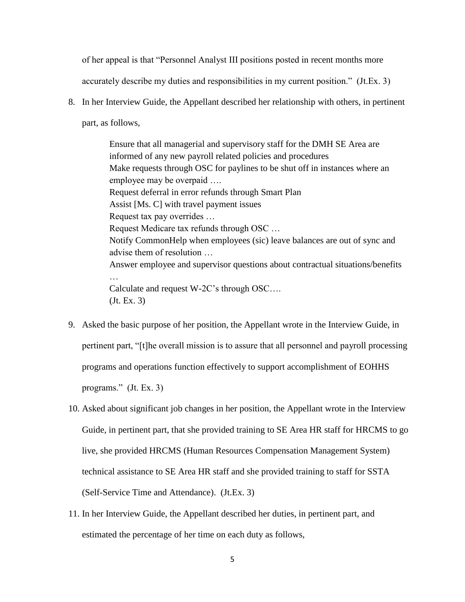of her appeal is that "Personnel Analyst III positions posted in recent months more

accurately describe my duties and responsibilities in my current position." (Jt.Ex. 3)

8. In her Interview Guide, the Appellant described her relationship with others, in pertinent part, as follows,

> Ensure that all managerial and supervisory staff for the DMH SE Area are informed of any new payroll related policies and procedures Make requests through OSC for paylines to be shut off in instances where an employee may be overpaid …. Request deferral in error refunds through Smart Plan Assist [Ms. C] with travel payment issues Request tax pay overrides … Request Medicare tax refunds through OSC … Notify CommonHelp when employees (sic) leave balances are out of sync and advise them of resolution … Answer employee and supervisor questions about contractual situations/benefits … Calculate and request W-2C's through OSC…. (Jt. Ex. 3)

- 9. Asked the basic purpose of her position, the Appellant wrote in the Interview Guide, in pertinent part, "[t]he overall mission is to assure that all personnel and payroll processing programs and operations function effectively to support accomplishment of EOHHS programs." (Jt. Ex. 3)
- 10. Asked about significant job changes in her position, the Appellant wrote in the Interview Guide, in pertinent part, that she provided training to SE Area HR staff for HRCMS to go live, she provided HRCMS (Human Resources Compensation Management System) technical assistance to SE Area HR staff and she provided training to staff for SSTA (Self-Service Time and Attendance). (Jt.Ex. 3)
- 11. In her Interview Guide, the Appellant described her duties, in pertinent part, and estimated the percentage of her time on each duty as follows,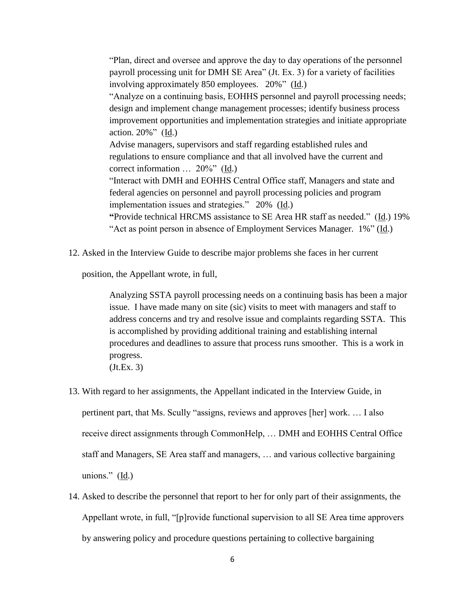"Plan, direct and oversee and approve the day to day operations of the personnel payroll processing unit for DMH SE Area" (Jt. Ex. 3) for a variety of facilities involving approximately 850 employees. 20%" (Id.) "Analyze on a continuing basis, EOHHS personnel and payroll processing needs;

design and implement change management processes; identify business process improvement opportunities and implementation strategies and initiate appropriate action.  $20\%$ " ( $\underline{Id}$ .)

Advise managers, supervisors and staff regarding established rules and regulations to ensure compliance and that all involved have the current and correct information … 20%" (Id.)

"Interact with DMH and EOHHS Central Office staff, Managers and state and federal agencies on personnel and payroll processing policies and program implementation issues and strategies." 20% (Id.)

**"**Provide technical HRCMS assistance to SE Area HR staff as needed." (Id.) 19% "Act as point person in absence of Employment Services Manager. 1%" (Id.)

12. Asked in the Interview Guide to describe major problems she faces in her current

position, the Appellant wrote, in full,

Analyzing SSTA payroll processing needs on a continuing basis has been a major issue. I have made many on site (sic) visits to meet with managers and staff to address concerns and try and resolve issue and complaints regarding SSTA. This is accomplished by providing additional training and establishing internal procedures and deadlines to assure that process runs smoother. This is a work in progress. (Jt.Ex. 3)

- 13. With regard to her assignments, the Appellant indicated in the Interview Guide, in pertinent part, that Ms. Scully "assigns, reviews and approves [her] work. … I also receive direct assignments through CommonHelp, … DMH and EOHHS Central Office staff and Managers, SE Area staff and managers, … and various collective bargaining unions." (Id.)
- 14. Asked to describe the personnel that report to her for only part of their assignments, the Appellant wrote, in full, "[p]rovide functional supervision to all SE Area time approvers by answering policy and procedure questions pertaining to collective bargaining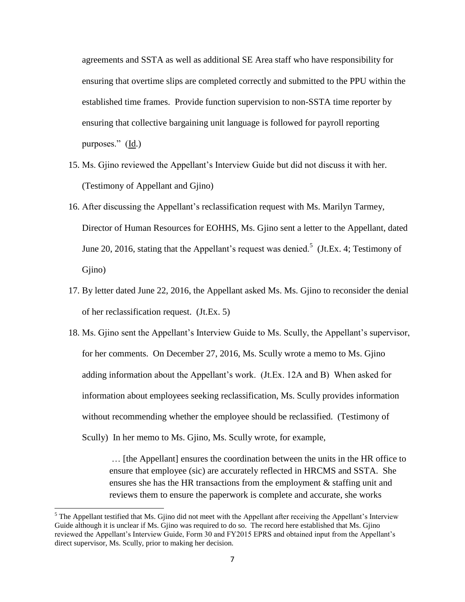agreements and SSTA as well as additional SE Area staff who have responsibility for ensuring that overtime slips are completed correctly and submitted to the PPU within the established time frames. Provide function supervision to non-SSTA time reporter by ensuring that collective bargaining unit language is followed for payroll reporting purposes."  $(\underline{Id})$ 

- 15. Ms. Gjino reviewed the Appellant's Interview Guide but did not discuss it with her. (Testimony of Appellant and Gjino)
- 16. After discussing the Appellant's reclassification request with Ms. Marilyn Tarmey, Director of Human Resources for EOHHS, Ms. Gjino sent a letter to the Appellant, dated June 20, 2016, stating that the Appellant's request was denied.<sup>5</sup> (Jt.Ex. 4; Testimony of Gjino)
- 17. By letter dated June 22, 2016, the Appellant asked Ms. Ms. Gjino to reconsider the denial of her reclassification request. (Jt.Ex. 5)
- 18. Ms. Gjino sent the Appellant's Interview Guide to Ms. Scully, the Appellant's supervisor, for her comments. On December 27, 2016, Ms. Scully wrote a memo to Ms. Gjino adding information about the Appellant's work. (Jt.Ex. 12A and B) When asked for information about employees seeking reclassification, Ms. Scully provides information without recommending whether the employee should be reclassified. (Testimony of Scully) In her memo to Ms. Gjino, Ms. Scully wrote, for example,

… [the Appellant] ensures the coordination between the units in the HR office to ensure that employee (sic) are accurately reflected in HRCMS and SSTA. She ensures she has the HR transactions from the employment & staffing unit and reviews them to ensure the paperwork is complete and accurate, she works

 $\overline{\phantom{a}}$ 

 $<sup>5</sup>$  The Appellant testified that Ms. Gjino did not meet with the Appellant after receiving the Appellant's Interview</sup> Guide although it is unclear if Ms. Gjino was required to do so. The record here established that Ms. Gjino reviewed the Appellant's Interview Guide, Form 30 and FY2015 EPRS and obtained input from the Appellant's direct supervisor, Ms. Scully, prior to making her decision.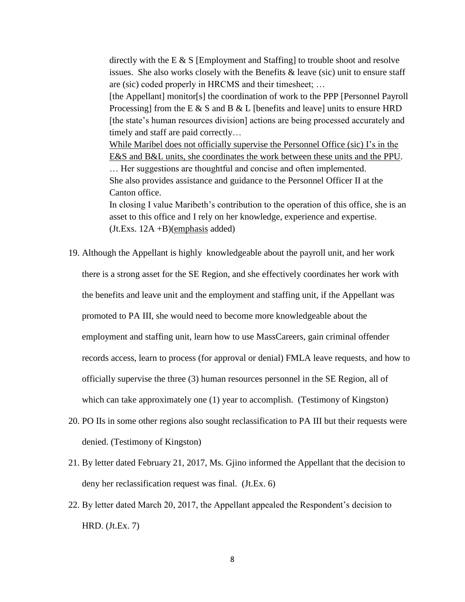directly with the E & S [Employment and Staffing] to trouble shoot and resolve issues. She also works closely with the Benefits  $\&$  leave (sic) unit to ensure staff are (sic) coded properly in HRCMS and their timesheet; …

[the Appellant] monitor[s] the coordination of work to the PPP [Personnel Payroll Processing] from the E  $\&$  S and B  $\&$  L [benefits and leave] units to ensure HRD [the state's human resources division] actions are being processed accurately and timely and staff are paid correctly…

While Maribel does not officially supervise the Personnel Office (sic) I's in the E&S and B&L units, she coordinates the work between these units and the PPU. … Her suggestions are thoughtful and concise and often implemented.

She also provides assistance and guidance to the Personnel Officer II at the Canton office.

In closing I value Maribeth's contribution to the operation of this office, she is an asset to this office and I rely on her knowledge, experience and expertise.  $(Jt.Exs. 12A + B)(emphasis added)$ 

- 19. Although the Appellant is highly knowledgeable about the payroll unit, and her work there is a strong asset for the SE Region, and she effectively coordinates her work with the benefits and leave unit and the employment and staffing unit, if the Appellant was promoted to PA III, she would need to become more knowledgeable about the employment and staffing unit, learn how to use MassCareers, gain criminal offender records access, learn to process (for approval or denial) FMLA leave requests, and how to officially supervise the three (3) human resources personnel in the SE Region, all of which can take approximately one (1) year to accomplish. (Testimony of Kingston)
- 20. PO IIs in some other regions also sought reclassification to PA III but their requests were denied. (Testimony of Kingston)
- 21. By letter dated February 21, 2017, Ms. Gjino informed the Appellant that the decision to deny her reclassification request was final. (Jt.Ex. 6)
- 22. By letter dated March 20, 2017, the Appellant appealed the Respondent's decision to HRD. (Jt.Ex. 7)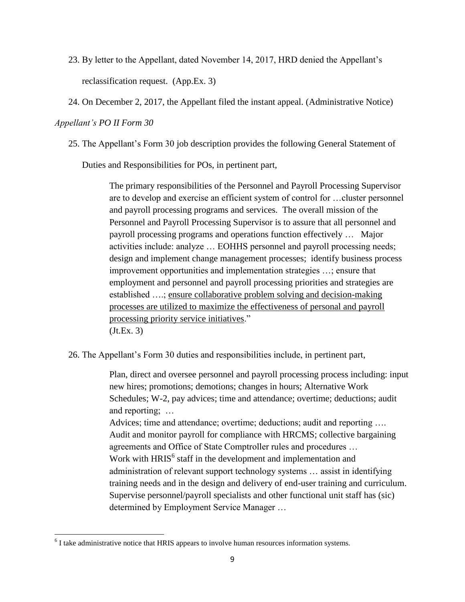- 23. By letter to the Appellant, dated November 14, 2017, HRD denied the Appellant's reclassification request. (App.Ex. 3)
- 24. On December 2, 2017, the Appellant filed the instant appeal. (Administrative Notice)

# *Appellant's PO II Form 30*

25. The Appellant's Form 30 job description provides the following General Statement of

Duties and Responsibilities for POs, in pertinent part,

The primary responsibilities of the Personnel and Payroll Processing Supervisor are to develop and exercise an efficient system of control for …cluster personnel and payroll processing programs and services. The overall mission of the Personnel and Payroll Processing Supervisor is to assure that all personnel and payroll processing programs and operations function effectively … Major activities include: analyze … EOHHS personnel and payroll processing needs; design and implement change management processes; identify business process improvement opportunities and implementation strategies …; ensure that employment and personnel and payroll processing priorities and strategies are established ….; ensure collaborative problem solving and decision-making processes are utilized to maximize the effectiveness of personal and payroll processing priority service initiatives." (Jt.Ex. 3)

26. The Appellant's Form 30 duties and responsibilities include, in pertinent part,

Plan, direct and oversee personnel and payroll processing process including: input new hires; promotions; demotions; changes in hours; Alternative Work Schedules; W-2, pay advices; time and attendance; overtime; deductions; audit and reporting; …

Advices; time and attendance; overtime; deductions; audit and reporting …. Audit and monitor payroll for compliance with HRCMS; collective bargaining agreements and Office of State Comptroller rules and procedures … Work with HRIS<sup>6</sup> staff in the development and implementation and administration of relevant support technology systems … assist in identifying training needs and in the design and delivery of end-user training and curriculum. Supervise personnel/payroll specialists and other functional unit staff has (sic) determined by Employment Service Manager …

 6 I take administrative notice that HRIS appears to involve human resources information systems.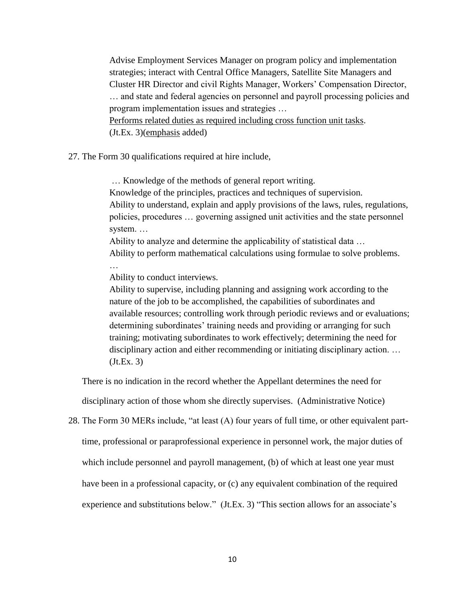Advise Employment Services Manager on program policy and implementation strategies; interact with Central Office Managers, Satellite Site Managers and Cluster HR Director and civil Rights Manager, Workers' Compensation Director, … and state and federal agencies on personnel and payroll processing policies and program implementation issues and strategies … Performs related duties as required including cross function unit tasks. (Jt.Ex. 3)(emphasis added)

27. The Form 30 qualifications required at hire include,

… Knowledge of the methods of general report writing. Knowledge of the principles, practices and techniques of supervision. Ability to understand, explain and apply provisions of the laws, rules, regulations, policies, procedures … governing assigned unit activities and the state personnel system. …

Ability to analyze and determine the applicability of statistical data … Ability to perform mathematical calculations using formulae to solve problems.

…

Ability to conduct interviews.

Ability to supervise, including planning and assigning work according to the nature of the job to be accomplished, the capabilities of subordinates and available resources; controlling work through periodic reviews and or evaluations; determining subordinates' training needs and providing or arranging for such training; motivating subordinates to work effectively; determining the need for disciplinary action and either recommending or initiating disciplinary action. … (Jt.Ex. 3)

There is no indication in the record whether the Appellant determines the need for

disciplinary action of those whom she directly supervises. (Administrative Notice)

28. The Form 30 MERs include, "at least (A) four years of full time, or other equivalent parttime, professional or paraprofessional experience in personnel work, the major duties of

which include personnel and payroll management, (b) of which at least one year must

have been in a professional capacity, or (c) any equivalent combination of the required

experience and substitutions below." (Jt.Ex. 3) "This section allows for an associate's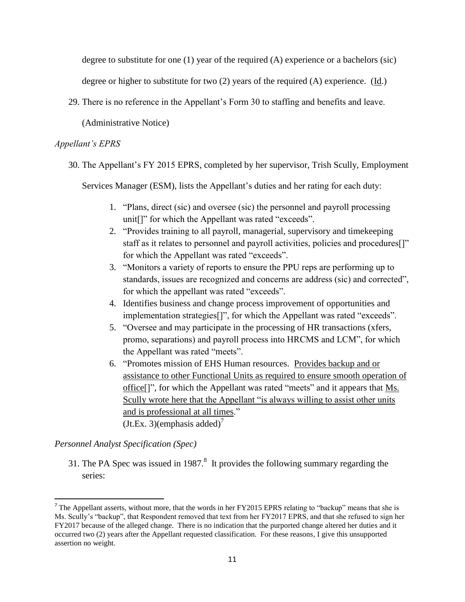degree to substitute for one (1) year of the required (A) experience or a bachelors (sic)

degree or higher to substitute for two (2) years of the required (A) experience. (Id.)

29. There is no reference in the Appellant's Form 30 to staffing and benefits and leave.

(Administrative Notice)

## *Appellant's EPRS*

30. The Appellant's FY 2015 EPRS, completed by her supervisor, Trish Scully, Employment

Services Manager (ESM), lists the Appellant's duties and her rating for each duty:

- 1. "Plans, direct (sic) and oversee (sic) the personnel and payroll processing unit[]" for which the Appellant was rated "exceeds".
- 2. "Provides training to all payroll, managerial, supervisory and timekeeping staff as it relates to personnel and payroll activities, policies and procedures[]" for which the Appellant was rated "exceeds".
- 3. "Monitors a variety of reports to ensure the PPU reps are performing up to standards, issues are recognized and concerns are address (sic) and corrected", for which the appellant was rated "exceeds".
- 4. Identifies business and change process improvement of opportunities and implementation strategies[]", for which the Appellant was rated "exceeds".
- 5. "Oversee and may participate in the processing of HR transactions (xfers, promo, separations) and payroll process into HRCMS and LCM", for which the Appellant was rated "meets".
- 6. "Promotes mission of EHS Human resources. Provides backup and or assistance to other Functional Units as required to ensure smooth operation of office<sup>[]"</sup>, for which the Appellant was rated "meets" and it appears that <u>Ms.</u> Scully wrote here that the Appellant "is always willing to assist other units and is professional at all times."  $(Jt.Ex. 3)$ (emphasis added)<sup>7</sup>

# *Personnel Analyst Specification (Spec)*

 $\overline{a}$ 

31. The PA Spec was issued in 1987.<sup>8</sup> It provides the following summary regarding the series:

<sup>&</sup>lt;sup>7</sup> The Appellant asserts, without more, that the words in her FY2015 EPRS relating to "backup" means that she is Ms. Scully's "backup", that Respondent removed that text from her FY2017 EPRS, and that she refused to sign her FY2017 because of the alleged change. There is no indication that the purported change altered her duties and it occurred two (2) years after the Appellant requested classification. For these reasons, I give this unsupported assertion no weight.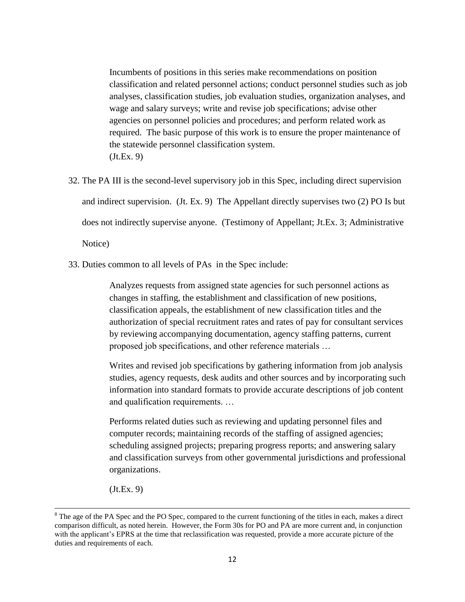Incumbents of positions in this series make recommendations on position classification and related personnel actions; conduct personnel studies such as job analyses, classification studies, job evaluation studies, organization analyses, and wage and salary surveys; write and revise job specifications; advise other agencies on personnel policies and procedures; and perform related work as required. The basic purpose of this work is to ensure the proper maintenance of the statewide personnel classification system. (Jt.Ex. 9)

- 32. The PA III is the second-level supervisory job in this Spec, including direct supervision and indirect supervision. (Jt. Ex. 9) The Appellant directly supervises two (2) PO Is but does not indirectly supervise anyone. (Testimony of Appellant; Jt.Ex. 3; Administrative Notice)
- 33. Duties common to all levels of PAs in the Spec include:

Analyzes requests from assigned state agencies for such personnel actions as changes in staffing, the establishment and classification of new positions, classification appeals, the establishment of new classification titles and the authorization of special recruitment rates and rates of pay for consultant services by reviewing accompanying documentation, agency staffing patterns, current proposed job specifications, and other reference materials …

Writes and revised job specifications by gathering information from job analysis studies, agency requests, desk audits and other sources and by incorporating such information into standard formats to provide accurate descriptions of job content and qualification requirements. …

Performs related duties such as reviewing and updating personnel files and computer records; maintaining records of the staffing of assigned agencies; scheduling assigned projects; preparing progress reports; and answering salary and classification surveys from other governmental jurisdictions and professional organizations.

(Jt.Ex. 9)

 $\overline{\phantom{a}}$ 

<sup>&</sup>lt;sup>8</sup> The age of the PA Spec and the PO Spec, compared to the current functioning of the titles in each, makes a direct comparison difficult, as noted herein. However, the Form 30s for PO and PA are more current and, in conjunction with the applicant's EPRS at the time that reclassification was requested, provide a more accurate picture of the duties and requirements of each.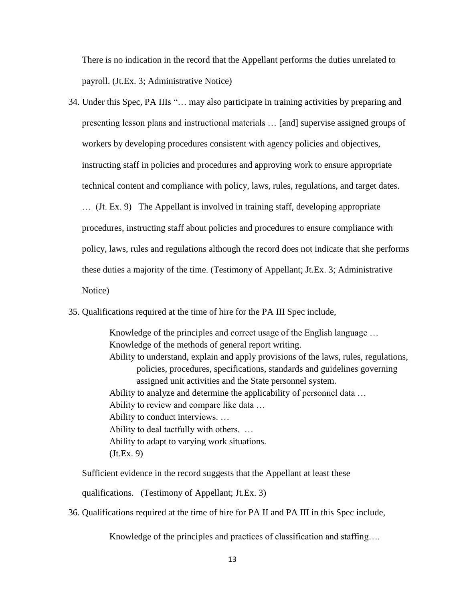There is no indication in the record that the Appellant performs the duties unrelated to payroll. (Jt.Ex. 3; Administrative Notice)

- 34. Under this Spec, PA IIIs "… may also participate in training activities by preparing and presenting lesson plans and instructional materials … [and] supervise assigned groups of workers by developing procedures consistent with agency policies and objectives, instructing staff in policies and procedures and approving work to ensure appropriate technical content and compliance with policy, laws, rules, regulations, and target dates. … (Jt. Ex. 9) The Appellant is involved in training staff, developing appropriate procedures, instructing staff about policies and procedures to ensure compliance with policy, laws, rules and regulations although the record does not indicate that she performs these duties a majority of the time. (Testimony of Appellant; Jt.Ex. 3; Administrative Notice)
- 35. Qualifications required at the time of hire for the PA III Spec include,

Knowledge of the principles and correct usage of the English language … Knowledge of the methods of general report writing. Ability to understand, explain and apply provisions of the laws, rules, regulations, policies, procedures, specifications, standards and guidelines governing assigned unit activities and the State personnel system. Ability to analyze and determine the applicability of personnel data … Ability to review and compare like data … Ability to conduct interviews. … Ability to deal tactfully with others. … Ability to adapt to varying work situations. (Jt.Ex. 9)

Sufficient evidence in the record suggests that the Appellant at least these

qualifications. (Testimony of Appellant; Jt.Ex. 3)

36. Qualifications required at the time of hire for PA II and PA III in this Spec include,

Knowledge of the principles and practices of classification and staffing….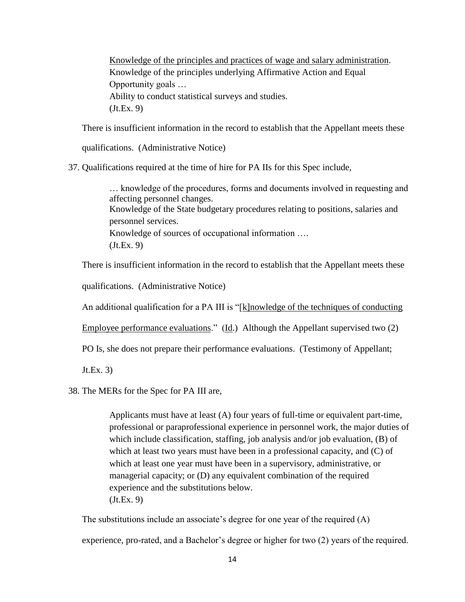Knowledge of the principles and practices of wage and salary administration. Knowledge of the principles underlying Affirmative Action and Equal Opportunity goals … Ability to conduct statistical surveys and studies. (Jt.Ex. 9)

There is insufficient information in the record to establish that the Appellant meets these

qualifications. (Administrative Notice)

37. Qualifications required at the time of hire for PA IIs for this Spec include,

… knowledge of the procedures, forms and documents involved in requesting and affecting personnel changes. Knowledge of the State budgetary procedures relating to positions, salaries and personnel services. Knowledge of sources of occupational information …. (Jt.Ex. 9)

There is insufficient information in the record to establish that the Appellant meets these

qualifications. (Administrative Notice)

An additional qualification for a PA III is "[k]nowledge of the techniques of conducting

Employee performance evaluations."  $(\underline{Id})$  Although the Appellant supervised two  $(2)$ 

PO Is, she does not prepare their performance evaluations. (Testimony of Appellant;

Jt.Ex. 3)

38. The MERs for the Spec for PA III are,

Applicants must have at least (A) four years of full-time or equivalent part-time, professional or paraprofessional experience in personnel work, the major duties of which include classification, staffing, job analysis and/or job evaluation, (B) of which at least two years must have been in a professional capacity, and (C) of which at least one year must have been in a supervisory, administrative, or managerial capacity; or (D) any equivalent combination of the required experience and the substitutions below. (Jt.Ex. 9)

The substitutions include an associate's degree for one year of the required (A) experience, pro-rated, and a Bachelor's degree or higher for two (2) years of the required.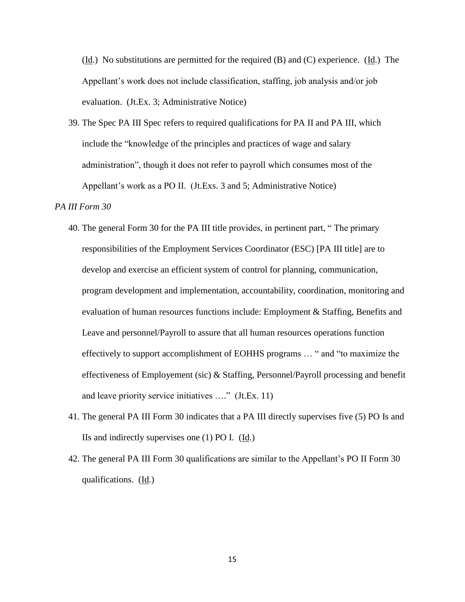$(\underline{Id})$ . No substitutions are permitted for the required (B) and (C) experience. (Id.) The Appellant's work does not include classification, staffing, job analysis and/or job evaluation. (Jt.Ex. 3; Administrative Notice)

39. The Spec PA III Spec refers to required qualifications for PA II and PA III, which include the "knowledge of the principles and practices of wage and salary administration", though it does not refer to payroll which consumes most of the Appellant's work as a PO II. (Jt.Exs. 3 and 5; Administrative Notice)

## *PA III Form 30*

- 40. The general Form 30 for the PA III title provides, in pertinent part, " The primary responsibilities of the Employment Services Coordinator (ESC) [PA III title] are to develop and exercise an efficient system of control for planning, communication, program development and implementation, accountability, coordination, monitoring and evaluation of human resources functions include: Employment & Staffing, Benefits and Leave and personnel/Payroll to assure that all human resources operations function effectively to support accomplishment of EOHHS programs … " and "to maximize the effectiveness of Employement (sic) & Staffing, Personnel/Payroll processing and benefit and leave priority service initiatives …." (Jt.Ex. 11)
- 41. The general PA III Form 30 indicates that a PA III directly supervises five (5) PO Is and IIs and indirectly supervises one  $(1)$  PO I.  $(\underline{Id})$ .
- 42. The general PA III Form 30 qualifications are similar to the Appellant's PO II Form 30 qualifications. (Id.)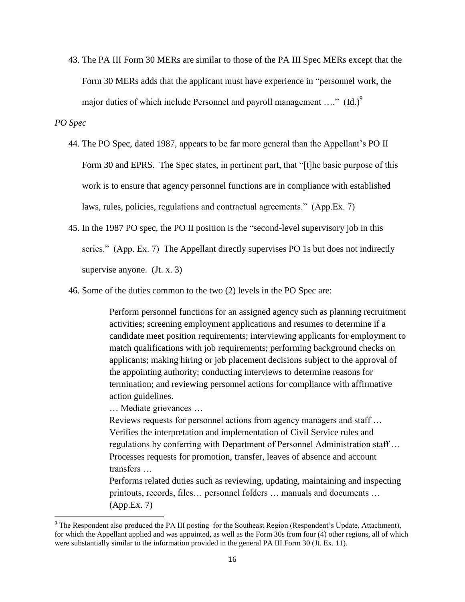43. The PA III Form 30 MERs are similar to those of the PA III Spec MERs except that the Form 30 MERs adds that the applicant must have experience in "personnel work, the major duties of which include Personnel and payroll management ...."  $(\underline{Id.})^9$ 

## *PO Spec*

 $\overline{\phantom{a}}$ 

- 44. The PO Spec, dated 1987, appears to be far more general than the Appellant's PO II Form 30 and EPRS. The Spec states, in pertinent part, that "[t]he basic purpose of this work is to ensure that agency personnel functions are in compliance with established laws, rules, policies, regulations and contractual agreements." (App.Ex. 7)
- 45. In the 1987 PO spec, the PO II position is the "second-level supervisory job in this series." (App. Ex. 7) The Appellant directly supervises PO 1s but does not indirectly supervise anyone. (Jt. x. 3)
- 46. Some of the duties common to the two (2) levels in the PO Spec are:

Perform personnel functions for an assigned agency such as planning recruitment activities; screening employment applications and resumes to determine if a candidate meet position requirements; interviewing applicants for employment to match qualifications with job requirements; performing background checks on applicants; making hiring or job placement decisions subject to the approval of the appointing authority; conducting interviews to determine reasons for termination; and reviewing personnel actions for compliance with affirmative action guidelines.

… Mediate grievances …

Reviews requests for personnel actions from agency managers and staff … Verifies the interpretation and implementation of Civil Service rules and regulations by conferring with Department of Personnel Administration staff … Processes requests for promotion, transfer, leaves of absence and account transfers …

Performs related duties such as reviewing, updating, maintaining and inspecting printouts, records, files… personnel folders … manuals and documents … (App.Ex. 7)

<sup>&</sup>lt;sup>9</sup> The Respondent also produced the PA III posting for the Southeast Region (Respondent's Update, Attachment), for which the Appellant applied and was appointed, as well as the Form 30s from four (4) other regions, all of which were substantially similar to the information provided in the general PA III Form 30 (Jt. Ex. 11).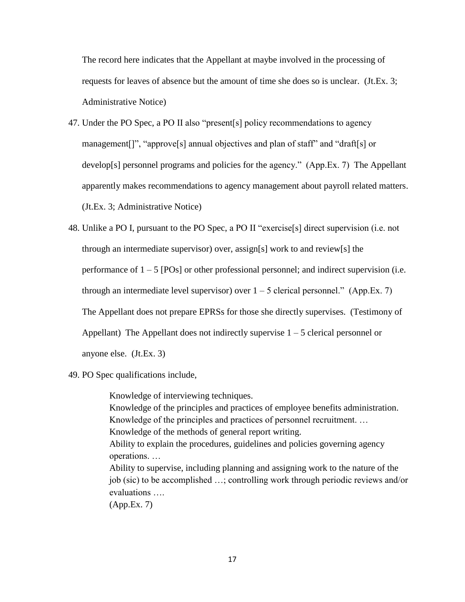The record here indicates that the Appellant at maybe involved in the processing of requests for leaves of absence but the amount of time she does so is unclear. (Jt.Ex. 3; Administrative Notice)

47. Under the PO Spec, a PO II also "present[s] policy recommendations to agency management[]", "approve[s] annual objectives and plan of staff" and "draft[s] or develop[s] personnel programs and policies for the agency." (App.Ex. 7) The Appellant apparently makes recommendations to agency management about payroll related matters. (Jt.Ex. 3; Administrative Notice)

48. Unlike a PO I, pursuant to the PO Spec, a PO II "exercise[s] direct supervision (i.e. not through an intermediate supervisor) over, assign[s] work to and review[s] the performance of  $1 - 5$  [POs] or other professional personnel; and indirect supervision (i.e. through an intermediate level supervisor) over  $1 - 5$  clerical personnel." (App.Ex. 7) The Appellant does not prepare EPRSs for those she directly supervises. (Testimony of Appellant) The Appellant does not indirectly supervise  $1 - 5$  clerical personnel or anyone else. (Jt.Ex. 3)

49. PO Spec qualifications include,

Knowledge of interviewing techniques. Knowledge of the principles and practices of employee benefits administration. Knowledge of the principles and practices of personnel recruitment. … Knowledge of the methods of general report writing. Ability to explain the procedures, guidelines and policies governing agency operations. … Ability to supervise, including planning and assigning work to the nature of the job (sic) to be accomplished …; controlling work through periodic reviews and/or evaluations …. (App.Ex. 7)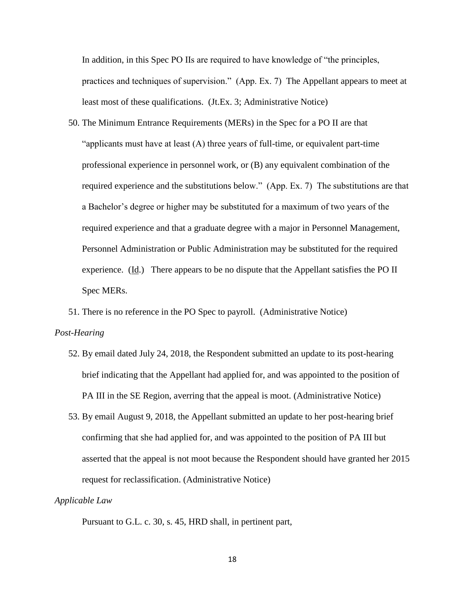In addition, in this Spec PO IIs are required to have knowledge of "the principles, practices and techniques of supervision." (App. Ex. 7) The Appellant appears to meet at least most of these qualifications. (Jt.Ex. 3; Administrative Notice)

50. The Minimum Entrance Requirements (MERs) in the Spec for a PO II are that "applicants must have at least  $(A)$  three years of full-time, or equivalent part-time professional experience in personnel work, or (B) any equivalent combination of the required experience and the substitutions below." (App. Ex. 7) The substitutions are that a Bachelor's degree or higher may be substituted for a maximum of two years of the required experience and that a graduate degree with a major in Personnel Management, Personnel Administration or Public Administration may be substituted for the required experience. (Id.) There appears to be no dispute that the Appellant satisfies the PO II Spec MERs.

51. There is no reference in the PO Spec to payroll. (Administrative Notice)

#### *Post-Hearing*

- 52. By email dated July 24, 2018, the Respondent submitted an update to its post-hearing brief indicating that the Appellant had applied for, and was appointed to the position of PA III in the SE Region, averring that the appeal is moot. (Administrative Notice)
- 53. By email August 9, 2018, the Appellant submitted an update to her post-hearing brief confirming that she had applied for, and was appointed to the position of PA III but asserted that the appeal is not moot because the Respondent should have granted her 2015 request for reclassification. (Administrative Notice)

#### *Applicable Law*

Pursuant to G.L. c. 30, s. 45, HRD shall, in pertinent part,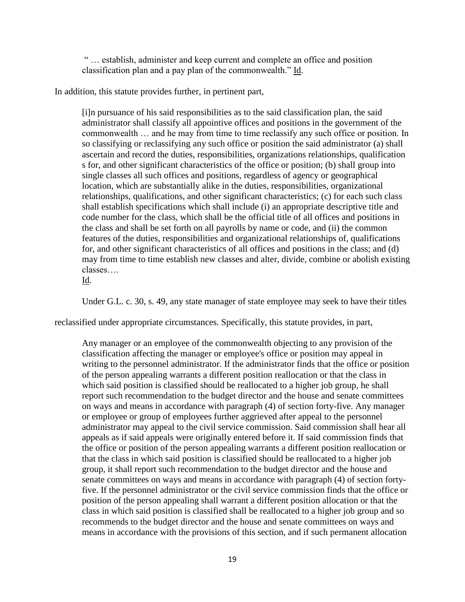" … establish, administer and keep current and complete an office and position classification plan and a pay plan of the commonwealth." Id.

In addition, this statute provides further, in pertinent part,

[i]n pursuance of his said responsibilities as to the said classification plan, the said administrator shall classify all appointive offices and positions in the government of the commonwealth … and he may from time to time reclassify any such office or position. In so classifying or reclassifying any such office or position the said administrator (a) shall ascertain and record the duties, responsibilities, organizations relationships, qualification s for, and other significant characteristics of the office or position; (b) shall group into single classes all such offices and positions, regardless of agency or geographical location, which are substantially alike in the duties, responsibilities, organizational relationships, qualifications, and other significant characteristics; (c) for each such class shall establish specifications which shall include (i) an appropriate descriptive title and code number for the class, which shall be the official title of all offices and positions in the class and shall be set forth on all payrolls by name or code, and (ii) the common features of the duties, responsibilities and organizational relationships of, qualifications for, and other significant characteristics of all offices and positions in the class; and (d) may from time to time establish new classes and alter, divide, combine or abolish existing classes….

Id.

Under G.L. c. 30, s. 49, any state manager of state employee may seek to have their titles

reclassified under appropriate circumstances. Specifically, this statute provides, in part,

Any manager or an employee of the commonwealth objecting to any provision of the classification affecting the manager or employee's office or position may appeal in writing to the personnel administrator. If the administrator finds that the office or position of the person appealing warrants a different position reallocation or that the class in which said position is classified should be reallocated to a higher job group, he shall report such recommendation to the budget director and the house and senate committees on ways and means in accordance with paragraph (4) of section forty-five. Any manager or employee or group of employees further aggrieved after appeal to the personnel administrator may appeal to the civil service commission. Said commission shall hear all appeals as if said appeals were originally entered before it. If said commission finds that the office or position of the person appealing warrants a different position reallocation or that the class in which said position is classified should be reallocated to a higher job group, it shall report such recommendation to the budget director and the house and senate committees on ways and means in accordance with paragraph (4) of section fortyfive. If the personnel administrator or the civil service commission finds that the office or position of the person appealing shall warrant a different position allocation or that the class in which said position is classified shall be reallocated to a higher job group and so recommends to the budget director and the house and senate committees on ways and means in accordance with the provisions of this section, and if such permanent allocation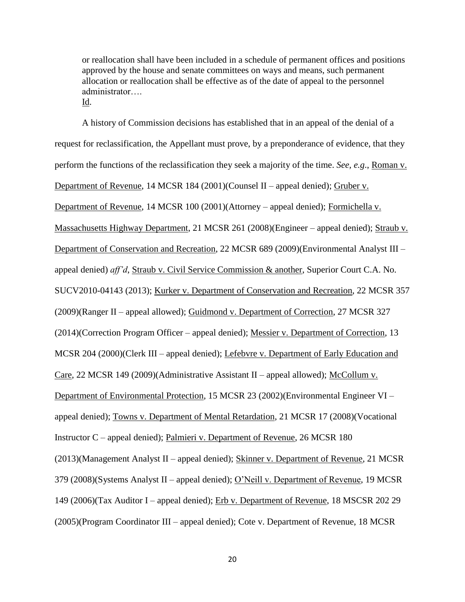or reallocation shall have been included in a schedule of permanent offices and positions approved by the house and senate committees on ways and means, such permanent allocation or reallocation shall be effective as of the date of appeal to the personnel administrator…. Id.

A history of Commission decisions has established that in an appeal of the denial of a request for reclassification, the Appellant must prove, by a preponderance of evidence, that they perform the functions of the reclassification they seek a majority of the time. *See, e.g*., Roman v. Department of Revenue, 14 MCSR 184 (2001)(Counsel II – appeal denied); Gruber v. Department of Revenue, 14 MCSR 100 (2001)(Attorney – appeal denied); Formichella v. Massachusetts Highway Department, 21 MCSR 261 (2008)(Engineer – appeal denied); Straub v. Department of Conservation and Recreation, 22 MCSR 689 (2009)(Environmental Analyst III – appeal denied) *aff'd*, Straub v. Civil Service Commission & another, Superior Court C.A. No. SUCV2010-04143 (2013); Kurker v. Department of Conservation and Recreation, 22 MCSR 357 (2009)(Ranger II – appeal allowed); Guidmond v. Department of Correction, 27 MCSR 327 (2014)(Correction Program Officer – appeal denied); Messier v. Department of Correction, 13 MCSR 204 (2000)(Clerk III – appeal denied); Lefebvre v. Department of Early Education and Care, 22 MCSR 149 (2009)(Administrative Assistant II – appeal allowed); McCollum v. Department of Environmental Protection, 15 MCSR 23 (2002)(Environmental Engineer VI – appeal denied); Towns v. Department of Mental Retardation, 21 MCSR 17 (2008)(Vocational Instructor C – appeal denied); Palmieri v. Department of Revenue, 26 MCSR 180 (2013)(Management Analyst II – appeal denied); Skinner v. Department of Revenue, 21 MCSR 379 (2008)(Systems Analyst II – appeal denied); O'Neill v. Department of Revenue, 19 MCSR 149 (2006)(Tax Auditor I – appeal denied); Erb v. Department of Revenue, 18 MSCSR 202 29 (2005)(Program Coordinator III – appeal denied); Cote v. Department of Revenue, 18 MCSR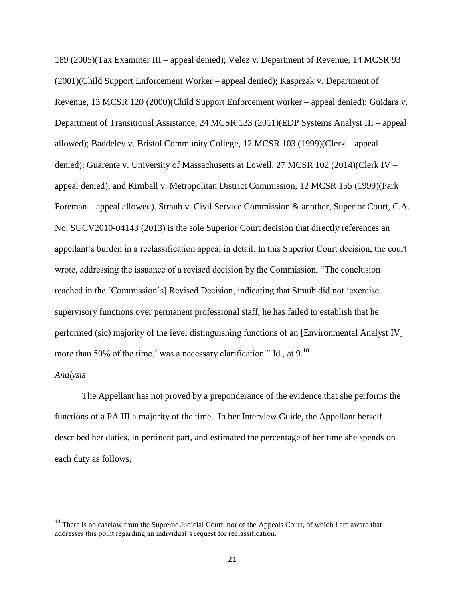189 (2005)(Tax Examiner III – appeal denied); Velez v. Department of Revenue, 14 MCSR 93 (2001)(Child Support Enforcement Worker – appeal denied); Kasprzak v. Department of Revenue, 13 MCSR 120 (2000)(Child Support Enforcement worker – appeal denied); Guidara v. Department of Transitional Assistance, 24 MCSR 133 (2011)(EDP Systems Analyst III – appeal allowed); Baddeley v. Bristol Community College, 12 MCSR 103 (1999)(Clerk – appeal denied); Guarente v. University of Massachusetts at Lowell, 27 MCSR 102 (2014)(Clerk IV – appeal denied); and Kimball v. Metropolitan District Commission, 12 MCSR 155 (1999)(Park Foreman – appeal allowed). Straub v. Civil Service Commission & another, Superior Court, C.A. No. SUCV2010-04143 (2013) is the sole Superior Court decision that directly references an appellant's burden in a reclassification appeal in detail. In this Superior Court decision, the court wrote, addressing the issuance of a revised decision by the Commission, "The conclusion reached in the [Commission's] Revised Decision, indicating that Straub did not 'exercise supervisory functions over permanent professional staff, he has failed to establish that he performed (sic) majority of the level distinguishing functions of an [Environmental Analyst IV] more than 50% of the time,' was a necessary clarification." Id., at 9.<sup>10</sup>

## *Analysis*

l

The Appellant has not proved by a preponderance of the evidence that she performs the functions of a PA III a majority of the time. In her Interview Guide, the Appellant herself described her duties, in pertinent part, and estimated the percentage of her time she spends on each duty as follows,

<sup>&</sup>lt;sup>10</sup> There is no caselaw from the Supreme Judicial Court, nor of the Appeals Court, of which I am aware that addresses this point regarding an individual's request for reclassification.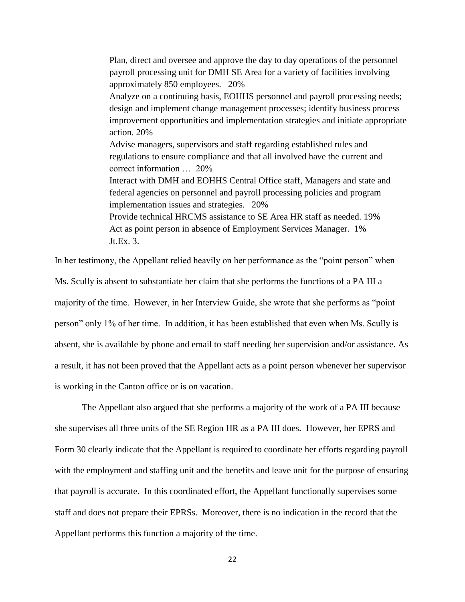Plan, direct and oversee and approve the day to day operations of the personnel payroll processing unit for DMH SE Area for a variety of facilities involving approximately 850 employees. 20% Analyze on a continuing basis, EOHHS personnel and payroll processing needs; design and implement change management processes; identify business process improvement opportunities and implementation strategies and initiate appropriate action. 20% Advise managers, supervisors and staff regarding established rules and regulations to ensure compliance and that all involved have the current and correct information … 20% Interact with DMH and EOHHS Central Office staff, Managers and state and federal agencies on personnel and payroll processing policies and program implementation issues and strategies. 20% Provide technical HRCMS assistance to SE Area HR staff as needed. 19% Act as point person in absence of Employment Services Manager. 1% Jt.Ex. 3.

In her testimony, the Appellant relied heavily on her performance as the "point person" when Ms. Scully is absent to substantiate her claim that she performs the functions of a PA III a majority of the time. However, in her Interview Guide, she wrote that she performs as "point person" only 1% of her time. In addition, it has been established that even when Ms. Scully is absent, she is available by phone and email to staff needing her supervision and/or assistance. As a result, it has not been proved that the Appellant acts as a point person whenever her supervisor is working in the Canton office or is on vacation.

The Appellant also argued that she performs a majority of the work of a PA III because she supervises all three units of the SE Region HR as a PA III does. However, her EPRS and Form 30 clearly indicate that the Appellant is required to coordinate her efforts regarding payroll with the employment and staffing unit and the benefits and leave unit for the purpose of ensuring that payroll is accurate. In this coordinated effort, the Appellant functionally supervises some staff and does not prepare their EPRSs. Moreover, there is no indication in the record that the Appellant performs this function a majority of the time.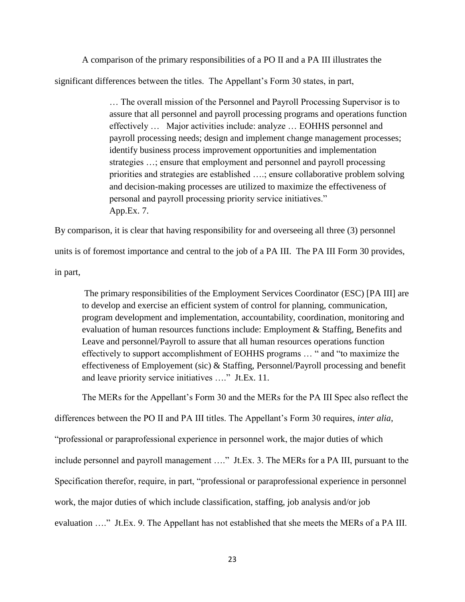A comparison of the primary responsibilities of a PO II and a PA III illustrates the significant differences between the titles. The Appellant's Form 30 states, in part,

> … The overall mission of the Personnel and Payroll Processing Supervisor is to assure that all personnel and payroll processing programs and operations function effectively … Major activities include: analyze … EOHHS personnel and payroll processing needs; design and implement change management processes; identify business process improvement opportunities and implementation strategies …; ensure that employment and personnel and payroll processing priorities and strategies are established ….; ensure collaborative problem solving and decision-making processes are utilized to maximize the effectiveness of personal and payroll processing priority service initiatives." App.Ex. 7.

By comparison, it is clear that having responsibility for and overseeing all three (3) personnel units is of foremost importance and central to the job of a PA III. The PA III Form 30 provides, in part,

The primary responsibilities of the Employment Services Coordinator (ESC) [PA III] are to develop and exercise an efficient system of control for planning, communication, program development and implementation, accountability, coordination, monitoring and evaluation of human resources functions include: Employment & Staffing, Benefits and Leave and personnel/Payroll to assure that all human resources operations function effectively to support accomplishment of EOHHS programs … " and "to maximize the effectiveness of Employement (sic) & Staffing, Personnel/Payroll processing and benefit and leave priority service initiatives …." Jt.Ex. 11.

The MERs for the Appellant's Form 30 and the MERs for the PA III Spec also reflect the

differences between the PO II and PA III titles. The Appellant's Form 30 requires, *inter alia*,

"professional or paraprofessional experience in personnel work, the major duties of which

include personnel and payroll management …." Jt.Ex. 3. The MERs for a PA III, pursuant to the

Specification therefor, require, in part, "professional or paraprofessional experience in personnel

work, the major duties of which include classification, staffing, job analysis and/or job

evaluation …." Jt.Ex. 9. The Appellant has not established that she meets the MERs of a PA III.